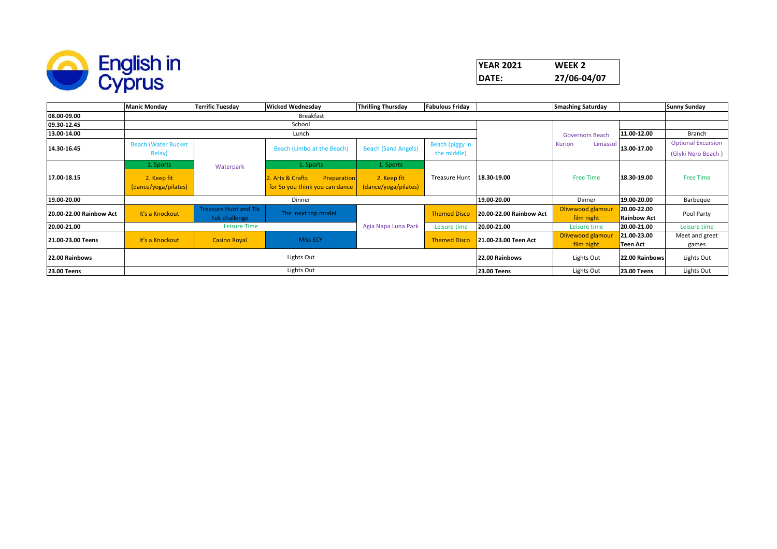

|                         | <b>Manic Monday</b>                                              | <b>Terrific Tuesday</b> | <b>Wicked Wednesday</b>         | <b>Thrilling Thursday</b>  | <b>Fabulous Friday</b>                      |                         | <b>Smashing Saturday</b> |                    | <b>Sunny Sunday</b>       |  |  |
|-------------------------|------------------------------------------------------------------|-------------------------|---------------------------------|----------------------------|---------------------------------------------|-------------------------|--------------------------|--------------------|---------------------------|--|--|
| 08.00-09.00             |                                                                  |                         | Breakfast                       |                            |                                             |                         |                          |                    |                           |  |  |
| 09.30-12.45             |                                                                  | School                  |                                 |                            |                                             |                         |                          |                    |                           |  |  |
| 13.00-14.00             |                                                                  |                         | Lunch                           |                            |                                             |                         | <b>Governors Beach</b>   | 11.00-12.00        | Branch                    |  |  |
|                         | <b>Beach (Water Bucket</b>                                       |                         |                                 |                            | Beach (piggy in                             |                         | Kurion<br>Limassol       | 13.00-17.00        | <b>Optional Excursion</b> |  |  |
| 14.30-16.45             | Relay)                                                           |                         | Beach (Limbo at the Beach)      | <b>Beach (Sand Angels)</b> | the middle)                                 |                         |                          |                    | (Glyki Nero Beach)        |  |  |
|                         | 1. Sports                                                        | Waterpark               | 1. Sports                       | 1. Sports                  |                                             |                         |                          |                    |                           |  |  |
| 17.00-18.15             | 2. Keep fit                                                      |                         | 2. Arts & Crafts<br>Preparation | 2. Keep fit                | <b>Treasure Hunt</b>                        | 18.30-19.00             | <b>Free Time</b>         | 18.30-19.00        | <b>Free Time</b>          |  |  |
|                         | (dance/yoga/pilates)                                             |                         | for So you think you can dance  | (dance/yoga/pilates)       |                                             |                         |                          |                    |                           |  |  |
| 19.00-20.00             |                                                                  |                         | Dinner                          |                            |                                             | 19.00-20.00             | Dinner                   | 19.00-20.00        | Barbeque                  |  |  |
| 20.00-22.00 Rainbow Act | <b>Treasure Hunt and Tik</b><br>It's a Knockout<br>Tok challenge |                         | The next top model              |                            | <b>Themed Disco</b>                         | 20.00-22.00 Rainbow Act | Olivewood glamour        | 20.00-22.00        | Pool Party                |  |  |
|                         |                                                                  |                         |                                 |                            |                                             |                         | film night               | <b>Rainbow Act</b> |                           |  |  |
| 20.00-21.00             |                                                                  | Leisure Time            |                                 | Agia Napa Luna Park        | Leisure time                                | 20.00-21.00             | Leisure time             | 20.00-21.00        | Leisure time              |  |  |
| 21.00-23.00 Teens       | It's a Knockout                                                  | <b>Casino Royal</b>     | <b>Miss ECY</b>                 |                            | <b>Themed Disco</b><br>21.00-23.00 Teen Act | Olivewood glamour       | 21.00-23.00              | Meet and greet     |                           |  |  |
|                         |                                                                  |                         |                                 |                            |                                             | film night              | Teen Act                 | games              |                           |  |  |
| 22.00 Rainbows          |                                                                  |                         |                                 | 22.00 Rainbows             | Lights Out                                  | 22.00 Rainbows          | Lights Out               |                    |                           |  |  |
| <b>23.00 Teens</b>      |                                                                  |                         | Lights Out                      |                            | <b>23.00 Teens</b>                          | Lights Out              | <b>23.00 Teens</b>       | Lights Out         |                           |  |  |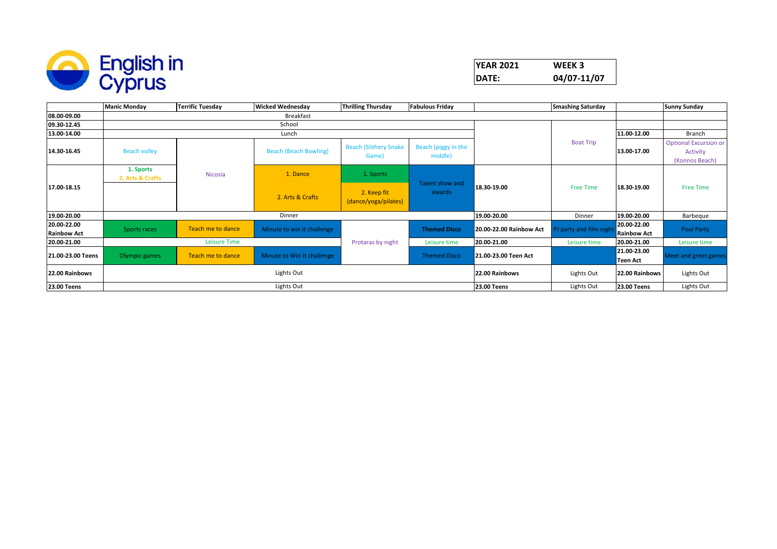

| <b>YEAR 2021</b> | WEEK 3      |
|------------------|-------------|
| DATE:            | 04/07-11/07 |

|                                   | <b>Manic Monday</b>           | <b>Terrific Tuesday</b> | <b>Wicked Wednesday</b>      | <b>Thrilling Thursday</b>             | <b>Fabulous Friday</b>         |                         | <b>Smashing Saturday</b> |                                   | <b>Sunny Sunday</b>                                        |
|-----------------------------------|-------------------------------|-------------------------|------------------------------|---------------------------------------|--------------------------------|-------------------------|--------------------------|-----------------------------------|------------------------------------------------------------|
| 08.00-09.00                       |                               |                         | Breakfast                    |                                       |                                |                         |                          |                                   |                                                            |
| 09.30-12.45                       |                               |                         | School                       |                                       |                                |                         |                          |                                   |                                                            |
| 13.00-14.00                       |                               |                         | Lunch                        |                                       |                                |                         |                          | 11.00-12.00                       | Branch                                                     |
| 14.30-16.45                       | <b>Beach volley</b>           |                         | <b>Beach (Beach Bowling)</b> | <b>Beach (Slithery Snake</b><br>Game) | Beach (piggy in the<br>middle) |                         | <b>Boat Trip</b>         | 13.00-17.00                       | <b>Optional Excursion or</b><br>Activity<br>(Konnos Beach) |
|                                   | 1. Sports<br>2. Arts & Crafts | Nicosia                 | 1. Dance                     | 1. Sports                             | Talent show and<br>awards      | 18.30-19.00             | <b>Free Time</b>         | 18.30-19.00                       | <b>Free Time</b>                                           |
| 17.00-18.15                       |                               |                         | 2. Arts & Crafts             | 2. Keep fit<br>(dance/yoga/pilates)   |                                |                         |                          |                                   |                                                            |
| 19.00-20.00                       |                               |                         | Dinner                       |                                       |                                | 19.00-20.00             | Dinner                   | 19.00-20.00                       | Barbeque                                                   |
| 20.00-22.00<br><b>Rainbow Act</b> | Sports races                  | Teach me to dance       | Minute to win it challenge   |                                       | <b>Themed Disco</b>            | 20.00-22.00 Rainbow Act | PJ party and film night  | 20.00-22.00<br><b>Rainbow Act</b> | Pool Party                                                 |
| 20.00-21.00                       |                               | Leisure Time            |                              | Protaras by night                     | Leisure time                   | 20.00-21.00             | Leisure time             | 20.00-21.00                       | Leisure time                                               |
| 21.00-23.00 Teens                 | Olympic games                 | Teach me to dance       | Minute to Win It challenge   |                                       | <b>Themed Disco</b>            | 21.00-23.00 Teen Act    |                          | 21.00-23.00<br>Teen Act           | Meet and greet games                                       |
| 22.00 Rainbows                    | Lights Out                    |                         |                              |                                       |                                | 22.00 Rainbows          | Lights Out               | 22.00 Rainbows                    | Lights Out                                                 |
| <b>23.00 Teens</b>                |                               |                         | Lights Out                   |                                       |                                | <b>23.00 Teens</b>      | Lights Out               | 23.00 Teens                       | Lights Out                                                 |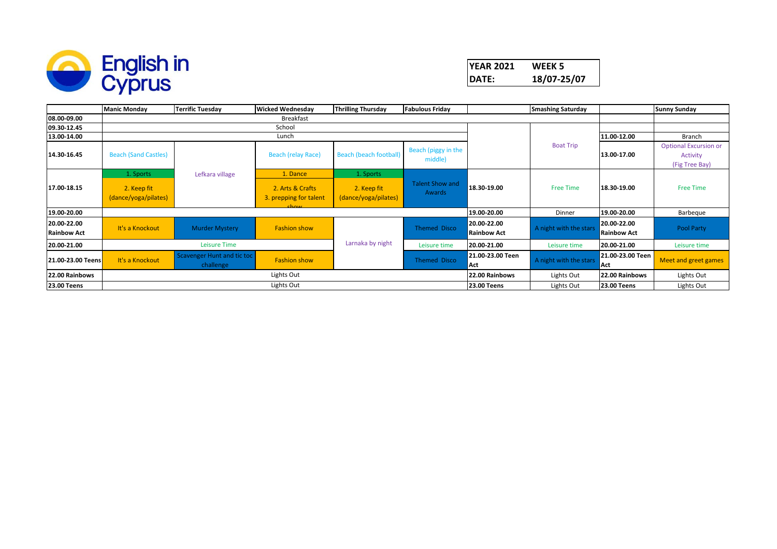

| <b>YEAR 2021</b> | WEEK 5      |
|------------------|-------------|
| DATE:            | 18/07-25/07 |

|                                   | <b>Manic Monday</b>                 | <b>Terrific Tuesday</b>                 | <b>Wicked Wednesday</b>                                       | <b>Thrilling Thursday</b>           | <b>Fabulous Friday</b>           |                                   | <b>Smashing Saturday</b> |                                   | <b>Sunny Sunday</b>                                        |
|-----------------------------------|-------------------------------------|-----------------------------------------|---------------------------------------------------------------|-------------------------------------|----------------------------------|-----------------------------------|--------------------------|-----------------------------------|------------------------------------------------------------|
| 08.00-09.00                       |                                     |                                         | <b>Breakfast</b>                                              |                                     |                                  |                                   |                          |                                   |                                                            |
| 09.30-12.45                       |                                     |                                         | School                                                        |                                     |                                  |                                   |                          |                                   |                                                            |
| 13.00-14.00                       |                                     |                                         | Lunch                                                         |                                     |                                  |                                   |                          | 11.00-12.00                       | Branch                                                     |
| 14.30-16.45                       | <b>Beach (Sand Castles)</b>         |                                         | <b>Beach (relay Race)</b>                                     | <b>Beach (beach football)</b>       | Beach (piggy in the<br>middle)   |                                   | <b>Boat Trip</b>         | 13.00-17.00                       | <b>Optional Excursion or</b><br>Activity<br>(Fig Tree Bay) |
|                                   | 1. Sports                           | Lefkara village                         | 1. Dance                                                      | 1. Sports                           |                                  |                                   |                          |                                   |                                                            |
| 17.00-18.15                       | 2. Keep fit<br>(dance/yoga/pilates) |                                         | 2. Arts & Crafts<br>3. prepping for talent<br>ch <sub>0</sub> | 2. Keep fit<br>(dance/yoga/pilates) | <b>Talent Show and</b><br>Awards | 18.30-19.00                       | <b>Free Time</b>         | 18.30-19.00                       | <b>Free Time</b>                                           |
| 19.00-20.00                       |                                     |                                         |                                                               |                                     |                                  | 19.00-20.00                       | Dinner                   | 19.00-20.00                       | Barbeque                                                   |
| 20.00-22.00<br><b>Rainbow Act</b> | It's a Knockout                     | <b>Murder Mystery</b>                   | <b>Fashion show</b>                                           |                                     | Themed Disco                     | 20.00-22.00<br><b>Rainbow Act</b> | A night with the stars   | 20.00-22.00<br><b>Rainbow Act</b> | Pool Party                                                 |
| 20.00-21.00                       |                                     | Leisure Time                            |                                                               | Larnaka by night                    | Leisure time                     | 20.00-21.00                       | Leisure time             | 20.00-21.00                       | Leisure time                                               |
| 21.00-23.00 Teens                 | It's a Knockout                     | Scavenger Hunt and tic toc<br>challenge | <b>Fashion show</b>                                           |                                     | <b>Themed Disco</b>              | 21.00-23.00 Teen<br>Act           | A night with the stars   | 21.00-23.00 Teen<br>Act           | Meet and greet games                                       |
| 22.00 Rainbows                    | Lights Out                          |                                         |                                                               |                                     |                                  | 22.00 Rainbows                    | Lights Out               | 22.00 Rainbows                    | Lights Out                                                 |
| <b>23.00 Teens</b>                |                                     |                                         | Lights Out                                                    |                                     |                                  | <b>23.00 Teens</b>                | Lights Out               | <b>23.00 Teens</b>                | Lights Out                                                 |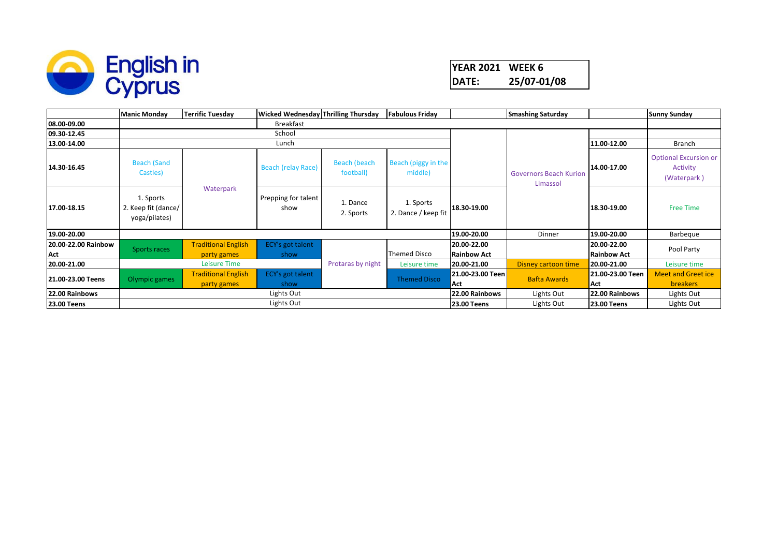

## **YEAR 2021 WEEK 6 DATE: 25/07-01/08**

|                     | <b>Manic Monday</b>                               | <b>Terrific Tuesday</b>                   | <b>Wicked Wednesday Thrilling Thursday</b> |                           | <b>Fabulous Friday</b>           |                         | <b>Smashing Saturday</b>                  |                         | <b>Sunny Sunday</b>                                     |  |
|---------------------|---------------------------------------------------|-------------------------------------------|--------------------------------------------|---------------------------|----------------------------------|-------------------------|-------------------------------------------|-------------------------|---------------------------------------------------------|--|
| 08.00-09.00         |                                                   | Breakfast                                 |                                            |                           |                                  |                         |                                           |                         |                                                         |  |
| 09.30-12.45         |                                                   |                                           | School                                     |                           |                                  |                         |                                           |                         |                                                         |  |
| 13.00-14.00         |                                                   |                                           | Lunch                                      |                           |                                  |                         |                                           | 11.00-12.00             | Branch                                                  |  |
| 14.30-16.45         | <b>Beach (Sand</b><br>Castles)                    | Waterpark                                 | <b>Beach (relay Race)</b>                  | Beach (beach<br>football) | Beach (piggy in the<br>middle)   |                         | <b>Governors Beach Kurion</b><br>Limassol | 14.00-17.00             | <b>Optional Excursion or</b><br>Activity<br>(Waterpark) |  |
| 17.00-18.15         | 1. Sports<br>2. Keep fit (dance/<br>yoga/pilates) |                                           | Prepping for talent<br>show                | 1. Dance<br>2. Sports     | 1. Sports<br>2. Dance / keep fit | 18.30-19.00             |                                           | 18.30-19.00             | <b>Free Time</b>                                        |  |
| 19.00-20.00         |                                                   |                                           |                                            |                           |                                  | 19.00-20.00             | Dinner                                    | 19.00-20.00             | Barbeque                                                |  |
| 20.00-22.00 Rainbow |                                                   | <b>Traditional English</b>                | ECY's got talent                           |                           |                                  | 20.00-22.00             |                                           | 20.00-22.00             |                                                         |  |
| Act                 | Sports races                                      | party games                               | show                                       |                           | <b>Themed Disco</b>              | <b>Rainbow Act</b>      |                                           | <b>Rainbow Act</b>      | Pool Party                                              |  |
| 20.00-21.00         |                                                   | Leisure Time                              |                                            | Protaras by night         | Leisure time                     | 20.00-21.00             | Disney cartoon time                       | 20.00-21.00             | Leisure time                                            |  |
| 21.00-23.00 Teens   | Olympic games                                     | <b>Traditional English</b><br>party games | <b>ECY's got talent</b><br>show            |                           | <b>Themed Disco</b>              | 21.00-23.00 Teen<br>Act | <b>Bafta Awards</b>                       | 21.00-23.00 Teen<br>Act | <b>Meet and Greet ice</b><br><b>breakers</b>            |  |
| 22.00 Rainbows      |                                                   |                                           | Lights Out                                 |                           |                                  | 22.00 Rainbows          | Lights Out                                | 22.00 Rainbows          | Lights Out                                              |  |
| <b>23.00 Teens</b>  |                                                   |                                           | Lights Out                                 |                           |                                  | <b>23.00 Teens</b>      | Lights Out                                | <b>23.00 Teens</b>      | Lights Out                                              |  |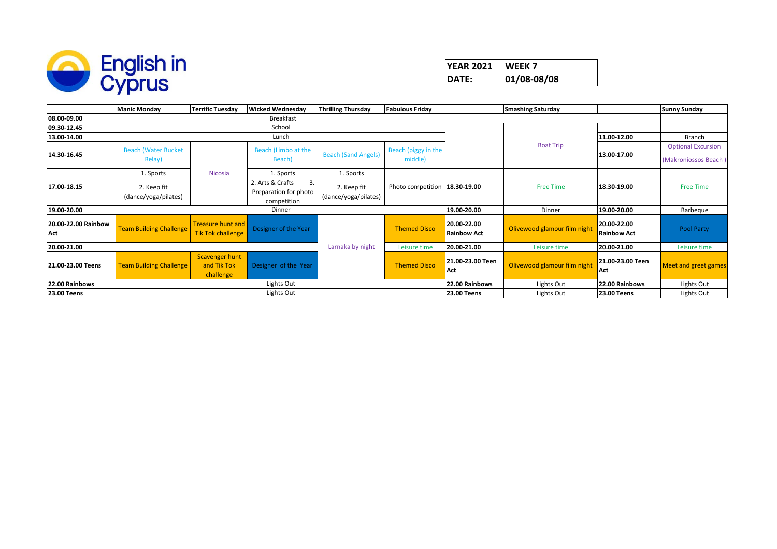

## **YEAR 2021 WEEK 7 DATE: 01/08-08/08**

|                            | <b>Manic Monday</b>                              | <b>Terrific Tuesday</b>                              | <b>Wicked Wednesdav</b>                                                     | <b>Thrilling Thursday</b>                        | <b>Fabulous Friday</b>         | <b>Smashing Saturday</b>          |                              |                                   | <b>Sunny Sunday</b>                               |
|----------------------------|--------------------------------------------------|------------------------------------------------------|-----------------------------------------------------------------------------|--------------------------------------------------|--------------------------------|-----------------------------------|------------------------------|-----------------------------------|---------------------------------------------------|
| 08.00-09.00                |                                                  |                                                      | Breakfast                                                                   |                                                  |                                |                                   |                              |                                   |                                                   |
| 09.30-12.45                |                                                  |                                                      | School                                                                      |                                                  |                                |                                   |                              |                                   |                                                   |
| 13.00-14.00                |                                                  |                                                      | Lunch                                                                       |                                                  |                                |                                   |                              | 11.00-12.00                       | Branch                                            |
| 14.30-16.45                | <b>Beach (Water Bucket</b><br>Relay)             |                                                      | Beach (Limbo at the<br>Beach)                                               | <b>Beach (Sand Angels)</b>                       | Beach (piggy in the<br>middle) |                                   | <b>Boat Trip</b>             | 13.00-17.00                       | <b>Optional Excursion</b><br>(Makroniossos Beach) |
| 17.00-18.15                | 1. Sports<br>2. Keep fit<br>(dance/yoga/pilates) | Nicosia                                              | 1. Sports<br>2. Arts & Crafts<br>3.<br>Preparation for photo<br>competition | 1. Sports<br>2. Keep fit<br>(dance/yoga/pilates) | Photo competition 18.30-19.00  |                                   | <b>Free Time</b>             | 18.30-19.00                       | <b>Free Time</b>                                  |
| 19.00-20.00                |                                                  |                                                      | Dinner                                                                      |                                                  |                                | 19.00-20.00                       | Dinner                       | 19.00-20.00                       | Barbeque                                          |
| 20.00-22.00 Rainbow<br>Act | <b>Team Building Challenge</b>                   | <b>Treasure hunt and</b><br><b>Tik Tok challenge</b> | Designer of the Year                                                        |                                                  | <b>Themed Disco</b>            | 20.00-22.00<br><b>Rainbow Act</b> | Olivewood glamour film night | 20.00-22.00<br><b>Rainbow Act</b> | Pool Party                                        |
| 20.00-21.00                |                                                  |                                                      |                                                                             | Larnaka by night                                 | Leisure time                   | 20.00-21.00                       | Leisure time                 | 20.00-21.00                       | Leisure time                                      |
| 21.00-23.00 Teens          | <b>Team Building Challenge</b>                   | Scavenger hunt<br>and Tik Tok<br>challenge           | Designer of the Year                                                        |                                                  | <b>Themed Disco</b>            | 21.00-23.00 Teen<br>Act           | Olivewood glamour film night | 21.00-23.00 Teen<br>Act           | <b>Meet and greet games</b>                       |
| 22.00 Rainbows             | Lights Out<br>22.00 Rainbows                     |                                                      |                                                                             |                                                  |                                |                                   | Lights Out                   | 22.00 Rainbows                    | Lights Out                                        |
| <b>23.00 Teens</b>         |                                                  |                                                      | Lights Out                                                                  |                                                  |                                | <b>23.00 Teens</b>                | Lights Out                   | <b>23.00 Teens</b>                | Lights Out                                        |